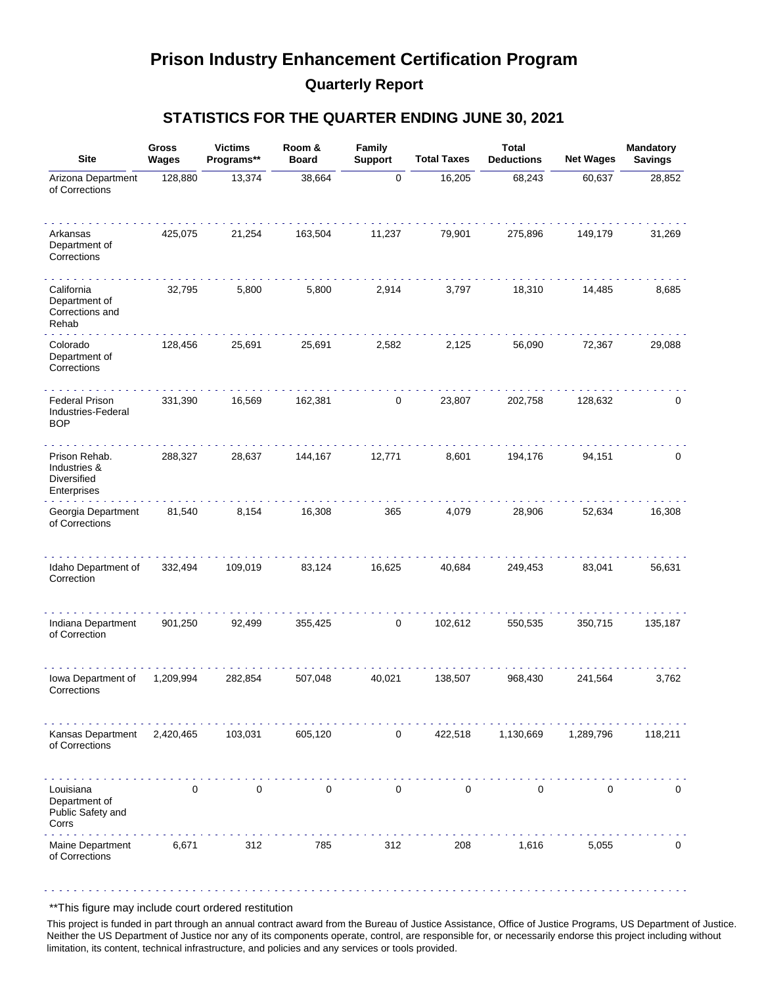## **Prison Industry Enhancement Certification Program Quarterly Report**

#### **STATISTICS FOR THE QUARTER ENDING JUNE 30, 2021**

| <b>Site</b>                                                 | <b>Gross</b><br>Wages | <b>Victims</b><br>Programs** | Room &<br><b>Board</b> | Family<br><b>Support</b> | <b>Total Taxes</b> | <b>Total</b><br><b>Deductions</b> | <b>Net Wages</b> | Mandatory<br><b>Savings</b> |
|-------------------------------------------------------------|-----------------------|------------------------------|------------------------|--------------------------|--------------------|-----------------------------------|------------------|-----------------------------|
| Arizona Department<br>of Corrections                        | 128,880               | 13,374                       | 38,664                 | $\pmb{0}$                | 16,205             | 68,243                            | 60,637           | 28,852                      |
| Arkansas<br>Department of<br>Corrections                    | 425,075               | 21,254                       | 163,504                | 11,237                   | 79,901             | 275,896                           | 149,179          | 31,269                      |
| California<br>Department of<br>Corrections and<br>Rehab     | 32,795                | 5,800                        | 5,800                  | 2,914                    | 3,797              | 18,310                            | 14,485           | 8,685                       |
| Colorado<br>Department of<br>Corrections                    | 128,456               | 25,691                       | 25,691                 | 2,582                    | 2,125              | 56,090                            | 72,367           | 29,088                      |
| <b>Federal Prison</b><br>Industries-Federal<br><b>BOP</b>   | 331,390               | 16,569                       | 162,381                | 0                        | 23,807             | 202,758                           | 128,632          | 0                           |
| Prison Rehab.<br>Industries &<br>Diversified<br>Enterprises | 288,327               | 28,637                       | 144,167                | 12,771                   | 8,601              | 194,176                           | 94,151           | 0                           |
| Georgia Department<br>of Corrections                        | 81,540                | 8,154                        | 16,308                 | 365                      | 4,079              | 28,906                            | 52,634           | 16,308                      |
| Idaho Department of<br>Correction                           | 332,494               | 109,019                      | 83,124                 | 16,625                   | 40,684             | 249,453                           | 83,041           | 56,631                      |
| Indiana Department<br>of Correction                         | 901,250               | 92,499                       | 355,425                | 0                        | 102,612            | 550,535                           | 350,715          | 135,187                     |
| Iowa Department of<br>Corrections                           | 1,209,994             | 282,854                      | 507,048                | 40,021                   | 138,507            | 968,430                           | 241,564          | 3,762                       |
| Kansas Department<br>of Corrections                         | 2,420,465             | 103,031                      | 605,120                | $\mathbf 0$              | 422,518            | 1,130,669                         | 1,289,796        | 118,211                     |
| Louisiana<br>Department of<br>Public Safety and<br>Corrs    | 0                     | 0                            | 0                      | 0                        | 0                  | 0                                 | $\mathbf 0$      | 0                           |
| Maine Department<br>of Corrections                          | 6,671                 | 312                          | 785                    | 312                      | 208                | 1,616                             | 5,055            | 0                           |

\*\*This figure may include court ordered restitution

This project is funded in part through an annual contract award from the Bureau of Justice Assistance, Office of Justice Programs, US Department of Justice. Neither the US Department of Justice nor any of its components operate, control, are responsible for, or necessarily endorse this project including without limitation, its content, technical infrastructure, and policies and any services or tools provided.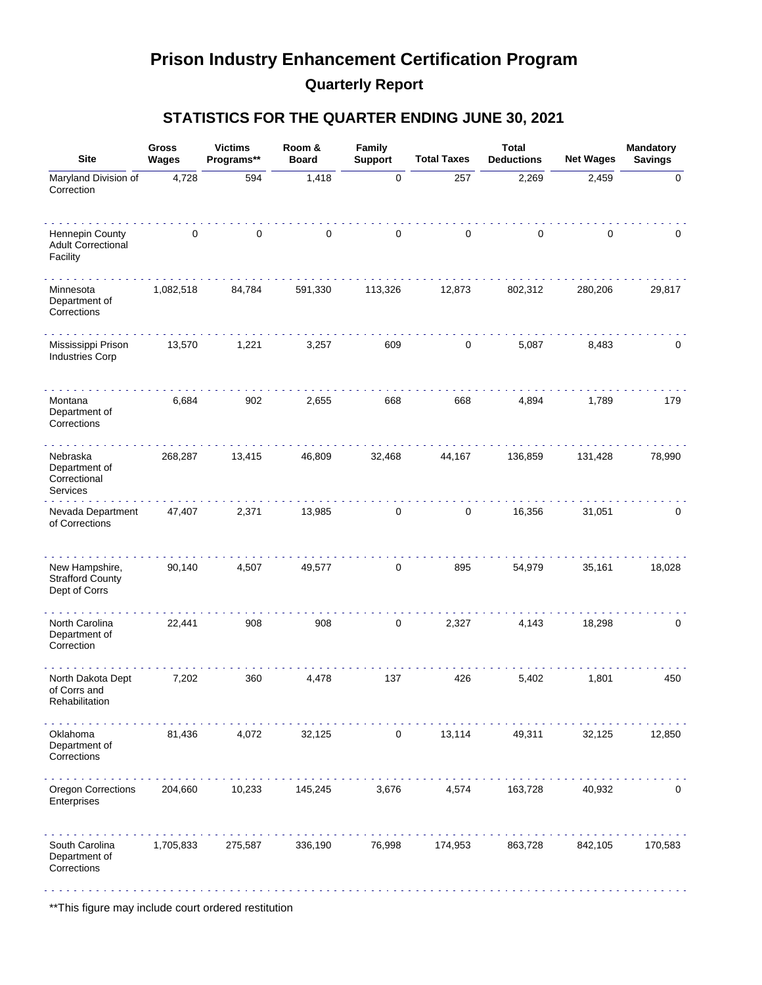## **Prison Industry Enhancement Certification Program Quarterly Report**

### **STATISTICS FOR THE QUARTER ENDING JUNE 30, 2021**

| <b>Site</b>                                                | <b>Gross</b><br>Wages | <b>Victims</b><br>Programs** | Room &<br><b>Board</b> | Family<br><b>Support</b> | <b>Total Taxes</b> | <b>Total</b><br><b>Deductions</b> | <b>Net Wages</b> | Mandatory<br><b>Savings</b> |
|------------------------------------------------------------|-----------------------|------------------------------|------------------------|--------------------------|--------------------|-----------------------------------|------------------|-----------------------------|
| Maryland Division of<br>Correction                         | 4,728                 | 594                          | 1,418                  | $\pmb{0}$                | 257                | 2,269                             | 2,459            | 0                           |
| Hennepin County<br><b>Adult Correctional</b><br>Facility   | $\mathbf{0}$          | 0                            | $\pmb{0}$              | 0                        | 0                  | 0                                 | 0                | 0                           |
| Minnesota<br>Department of<br>Corrections                  | 1,082,518             | 84,784                       | 591,330                | 113,326                  | 12,873             | 802,312                           | 280,206          | 29,817                      |
| Mississippi Prison<br><b>Industries Corp</b>               | 13,570                | 1,221                        | 3,257                  | 609                      | 0                  | 5,087                             | 8,483            | 0                           |
| Montana<br>Department of<br>Corrections                    | 6,684                 | 902                          | 2,655                  | 668                      | 668                | 4,894                             | 1,789            | 179                         |
| Nebraska<br>Department of<br>Correctional<br>Services      | 268,287               | 13,415                       | 46,809                 | 32,468                   | 44,167             | 136,859                           | 131,428          | 78,990                      |
| Nevada Department<br>of Corrections                        | 47,407                | 2,371                        | 13,985                 | 0                        | 0                  | 16,356                            | 31,051           | 0                           |
| New Hampshire,<br><b>Strafford County</b><br>Dept of Corrs | 90,140                | 4,507                        | 49,577                 | 0                        | 895                | 54,979                            | 35,161           | 18,028                      |
| North Carolina<br>Department of<br>Correction              | 22,441                | 908                          | 908                    | 0                        | 2,327              | 4,143                             | 18,298           | $\mathbf 0$                 |
| North Dakota Dept<br>of Corrs and<br>Rehabilitation        | 7,202                 | 360                          | 4,478                  | 137                      | 426                | 5,402                             | 1,801            | 450                         |
| Oklahoma<br>Department of<br>Corrections                   | 81,436                | 4,072                        | 32,125                 | 0                        | 13,114             | 49,311                            | 32,125           | 12,850                      |
| Oregon Corrections<br>Enterprises                          | 204,660               | 10,233                       | 145,245                | 3,676                    | 4,574              | 163,728                           | 40,932           | 0                           |
| South Carolina<br>Department of<br>Corrections             | 1,705,833             | 275,587                      | 336,190                | 76,998                   | 174,953            | 863,728                           | 842,105          | 170,583                     |

\*\*This figure may include court ordered restitution